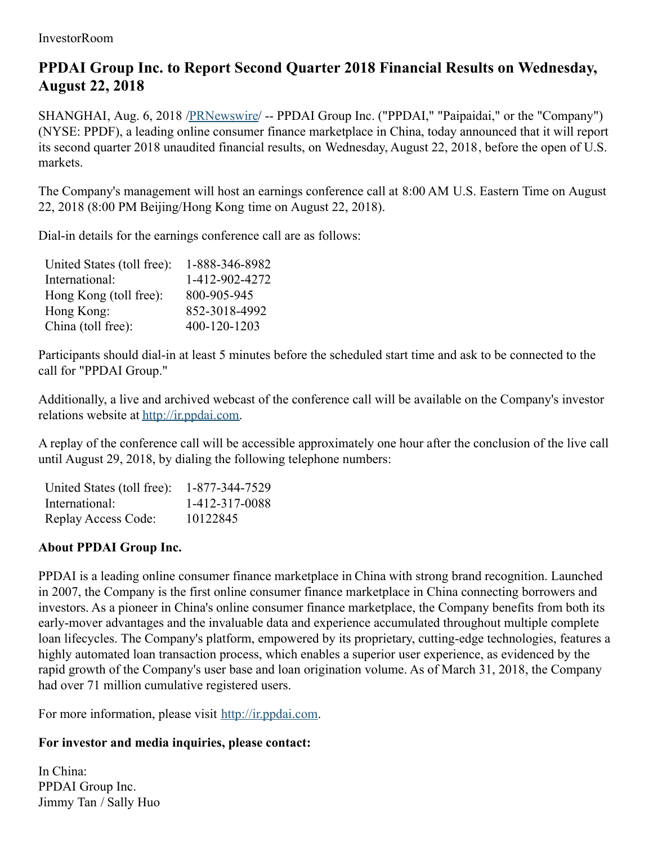## **PPDAI Group Inc. to Report Second Quarter 2018 Financial Results on Wednesday, August 22, 2018**

SHANGHAI, Aug. 6, 2018 [/PRNewswire](http://www.prnewswire.com/)/ -- PPDAI Group Inc. ("PPDAI," "Paipaidai," or the "Company") (NYSE: PPDF), a leading online consumer finance marketplace in China, today announced that it will report its second quarter 2018 unaudited financial results, on Wednesday, August 22, 2018, before the open of U.S. markets.

The Company's management will host an earnings conference call at 8:00 AM U.S. Eastern Time on August 22, 2018 (8:00 PM Beijing/Hong Kong time on August 22, 2018).

Dial-in details for the earnings conference call are as follows:

| 1-888-346-8982 |
|----------------|
| 1-412-902-4272 |
| 800-905-945    |
| 852-3018-4992  |
| 400-120-1203   |
|                |

Participants should dial-in at least 5 minutes before the scheduled start time and ask to be connected to the call for "PPDAI Group."

Additionally, a live and archived webcast of the conference call will be available on the Company's investor relations website at [http://ir.ppdai.com](http://ir.ppdai.com/).

A replay of the conference call will be accessible approximately one hour after the conclusion of the live call until August 29, 2018, by dialing the following telephone numbers:

| United States (toll free): | 1-877-344-7529 |
|----------------------------|----------------|
| International:             | 1-412-317-0088 |
| Replay Access Code:        | 10122845       |

## **About PPDAI Group Inc.**

PPDAI is a leading online consumer finance marketplace in China with strong brand recognition. Launched in 2007, the Company is the first online consumer finance marketplace in China connecting borrowers and investors. As a pioneer in China's online consumer finance marketplace, the Company benefits from both its early-mover advantages and the invaluable data and experience accumulated throughout multiple complete loan lifecycles. The Company's platform, empowered by its proprietary, cutting-edge technologies, features a highly automated loan transaction process, which enables a superior user experience, as evidenced by the rapid growth of the Company's user base and loan origination volume. As of March 31, 2018, the Company had over 71 million cumulative registered users.

For more information, please visit [http://ir.ppdai.com](http://ir.ppdai.com/).

## **For investor and media inquiries, please contact:**

In China: PPDAI Group Inc. Jimmy Tan / Sally Huo